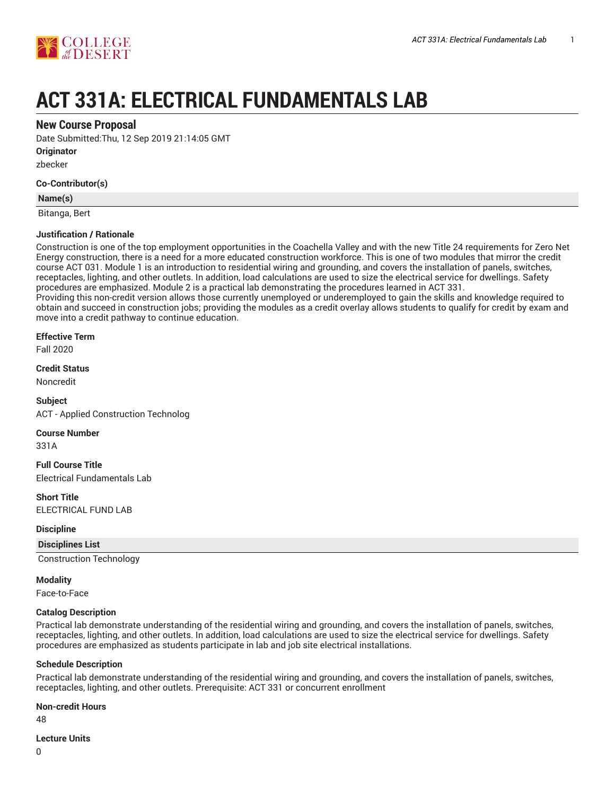

# **ACT 331A: ELECTRICAL FUNDAMENTALS LAB**

## **New Course Proposal**

Date Submitted:Thu, 12 Sep 2019 21:14:05 GMT

**Originator**

zbecker

#### **Co-Contributor(s)**

#### **Name(s)**

Bitanga, Bert

## **Justification / Rationale**

Construction is one of the top employment opportunities in the Coachella Valley and with the new Title 24 requirements for Zero Net Energy construction, there is a need for a more educated construction workforce. This is one of two modules that mirror the credit course ACT 031. Module 1 is an introduction to residential wiring and grounding, and covers the installation of panels, switches, receptacles, lighting, and other outlets. In addition, load calculations are used to size the electrical service for dwellings. Safety procedures are emphasized. Module 2 is a practical lab demonstrating the procedures learned in ACT 331. Providing this non-credit version allows those currently unemployed or underemployed to gain the skills and knowledge required to obtain and succeed in construction jobs; providing the modules as a credit overlay allows students to qualify for credit by exam and move into a credit pathway to continue education.

#### **Effective Term**

Fall 2020

**Credit Status**

Noncredit

**Subject** ACT - Applied Construction Technolog

**Course Number**

331A

**Full Course Title** Electrical Fundamentals Lab

**Short Title** ELECTRICAL FUND LAB

#### **Discipline**

**Disciplines List**

Construction Technology

**Modality**

Face-to-Face

#### **Catalog Description**

Practical lab demonstrate understanding of the residential wiring and grounding, and covers the installation of panels, switches, receptacles, lighting, and other outlets. In addition, load calculations are used to size the electrical service for dwellings. Safety procedures are emphasized as students participate in lab and job site electrical installations.

#### **Schedule Description**

Practical lab demonstrate understanding of the residential wiring and grounding, and covers the installation of panels, switches, receptacles, lighting, and other outlets. Prerequisite: ACT 331 or concurrent enrollment

#### **Non-credit Hours**

48

#### **Lecture Units**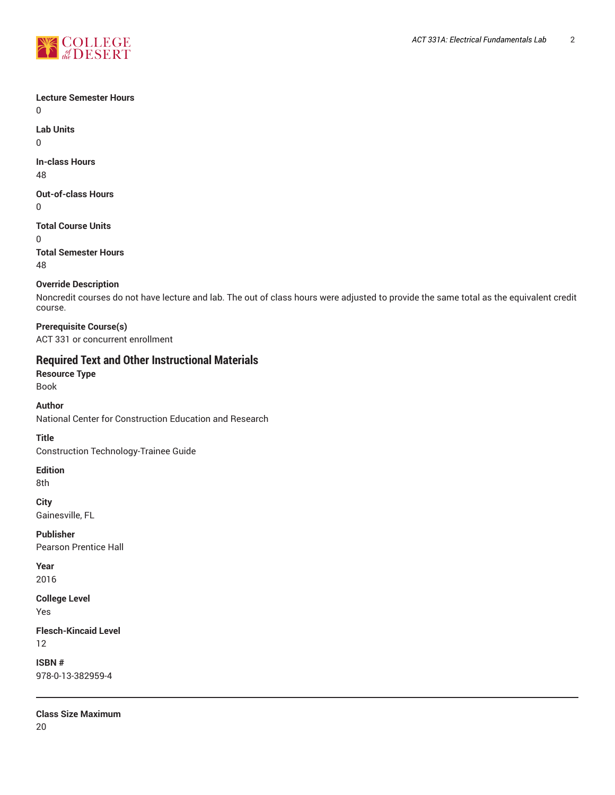

## **Lecture Semester Hours**

0

**Lab Units** 0

**In-class Hours** 48

**Out-of-class Hours** 0

**Total Course Units** 0

**Total Semester Hours** 48

## **Override Description**

Noncredit courses do not have lecture and lab. The out of class hours were adjusted to provide the same total as the equivalent credit course.

**Prerequisite Course(s)** ACT 331 or concurrent enrollment

# **Required Text and Other Instructional Materials**

**Resource Type** Book

**Author**

National Center for Construction Education and Research

**Title**

Construction Technology-Trainee Guide

**Edition**

8th

**City**

Gainesville, FL

**Publisher** Pearson Prentice Hall

**Year** 2016

**College Level**

Yes

**Flesch-Kincaid Level** 12

**ISBN #** 978-0-13-382959-4

**Class Size Maximum**

20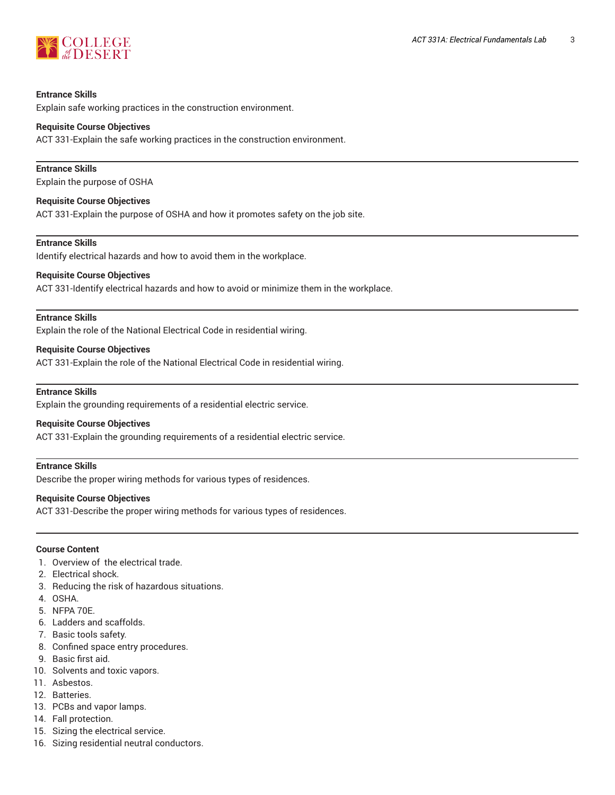

#### **Entrance Skills**

Explain safe working practices in the construction environment.

#### **Requisite Course Objectives**

ACT 331-Explain the safe working practices in the construction environment.

#### **Entrance Skills**

Explain the purpose of OSHA

#### **Requisite Course Objectives**

ACT 331-Explain the purpose of OSHA and how it promotes safety on the job site.

#### **Entrance Skills**

Identify electrical hazards and how to avoid them in the workplace.

#### **Requisite Course Objectives**

ACT 331-Identify electrical hazards and how to avoid or minimize them in the workplace.

#### **Entrance Skills**

Explain the role of the National Electrical Code in residential wiring.

#### **Requisite Course Objectives**

ACT 331-Explain the role of the National Electrical Code in residential wiring.

#### **Entrance Skills**

Explain the grounding requirements of a residential electric service.

#### **Requisite Course Objectives**

ACT 331-Explain the grounding requirements of a residential electric service.

#### **Entrance Skills**

Describe the proper wiring methods for various types of residences.

#### **Requisite Course Objectives**

ACT 331-Describe the proper wiring methods for various types of residences.

#### **Course Content**

- 1. Overview of the electrical trade.
- 2. Electrical shock.
- 3. Reducing the risk of hazardous situations.
- 4. OSHA.
- 5. NFPA 70E.
- 6. Ladders and scaffolds.
- 7. Basic tools safety.
- 8. Confined space entry procedures.
- 9. Basic first aid.
- 10. Solvents and toxic vapors.
- 11. Asbestos.
- 12. Batteries.
- 13. PCBs and vapor lamps.
- 14. Fall protection.
- 15. Sizing the electrical service.
- 16. Sizing residential neutral conductors.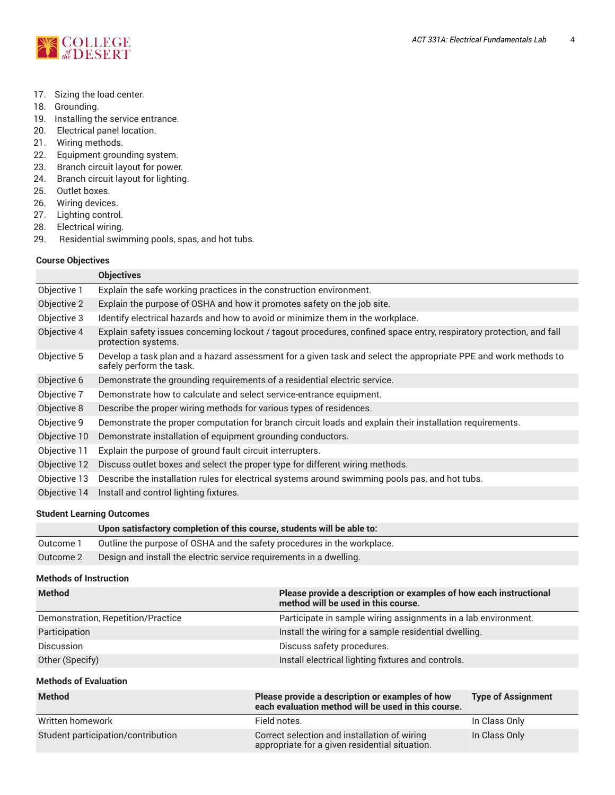

- 17. Sizing the load center.
- 18. Grounding.
- 19. Installing the service entrance.
- 20. Electrical panel location.
- 21. Wiring methods.
- 22. Equipment grounding system.
- 23. Branch circuit layout for power.
- 24. Branch circuit layout for lighting.
- 25. Outlet boxes.
- 26. Wiring devices.
- 27. Lighting control.
- 28. Electrical wiring.
- 29. Residential swimming pools, spas, and hot tubs.

## **Course Objectives**

|              | <b>Objectives</b>                                                                                                                           |
|--------------|---------------------------------------------------------------------------------------------------------------------------------------------|
| Objective 1  | Explain the safe working practices in the construction environment.                                                                         |
| Objective 2  | Explain the purpose of OSHA and how it promotes safety on the job site.                                                                     |
| Objective 3  | Identify electrical hazards and how to avoid or minimize them in the workplace.                                                             |
| Objective 4  | Explain safety issues concerning lockout / tagout procedures, confined space entry, respiratory protection, and fall<br>protection systems. |
| Objective 5  | Develop a task plan and a hazard assessment for a given task and select the appropriate PPE and work methods to<br>safely perform the task. |
| Objective 6  | Demonstrate the grounding requirements of a residential electric service.                                                                   |
| Objective 7  | Demonstrate how to calculate and select service-entrance equipment.                                                                         |
| Objective 8  | Describe the proper wiring methods for various types of residences.                                                                         |
| Objective 9  | Demonstrate the proper computation for branch circuit loads and explain their installation requirements.                                    |
| Objective 10 | Demonstrate installation of equipment grounding conductors.                                                                                 |
| Objective 11 | Explain the purpose of ground fault circuit interrupters.                                                                                   |
| Objective 12 | Discuss outlet boxes and select the proper type for different wiring methods.                                                               |
| Objective 13 | Describe the installation rules for electrical systems around swimming pools pas, and hot tubs.                                             |
| Objective 14 | Install and control lighting fixtures.                                                                                                      |

## **Student Learning Outcomes**

|           | Upon satisfactory completion of this course, students will be able to:  |
|-----------|-------------------------------------------------------------------------|
| Outcome 1 | Outline the purpose of OSHA and the safety procedures in the workplace. |
| Outcome 2 | Design and install the electric service requirements in a dwelling.     |
|           |                                                                         |

## **Methods of Instruction**

| <b>Method</b>                      | Please provide a description or examples of how each instructional<br>method will be used in this course.  |
|------------------------------------|------------------------------------------------------------------------------------------------------------|
| Demonstration, Repetition/Practice | Participate in sample wiring assignments in a lab environment.                                             |
| Participation                      | Install the wiring for a sample residential dwelling.                                                      |
| Discussion                         | Discuss safety procedures.                                                                                 |
| Other (Specify)                    | Install electrical lighting fixtures and controls.                                                         |
| <b>Methods of Evaluation</b>       |                                                                                                            |
| $B = AB + AB + AB$                 | $\mathbf{D}$ and a second density in the contribution of the contribution of $\mathbf{A}$ and $\mathbf{A}$ |

| Method                             | Please provide a description or examples of how<br>each evaluation method will be used in this course. | <b>Type of Assignment</b> |
|------------------------------------|--------------------------------------------------------------------------------------------------------|---------------------------|
| Written homework                   | Field notes.                                                                                           | In Class Only             |
| Student participation/contribution | Correct selection and installation of wiring<br>appropriate for a given residential situation.         | In Class Only             |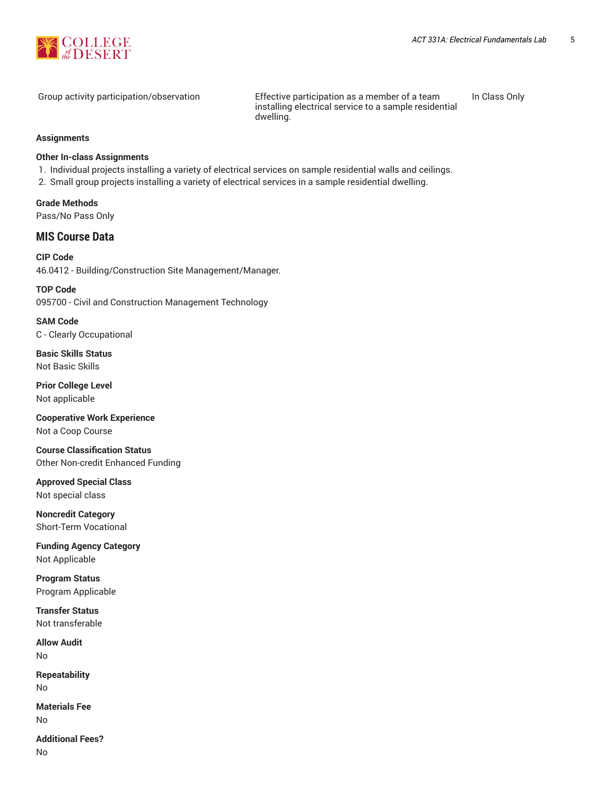

Group activity participation/observation Effective participation as a member of a team installing electrical service to a sample residential dwelling.

In Class Only

#### **Assignments**

#### **Other In-class Assignments**

- 1. Individual projects installing a variety of electrical services on sample residential walls and ceilings.
- 2. Small group projects installing a variety of electrical services in a sample residential dwelling.

**Grade Methods** Pass/No Pass Only

## **MIS Course Data**

**CIP Code** 46.0412 - Building/Construction Site Management/Manager.

**TOP Code** 095700 - Civil and Construction Management Technology

**SAM Code** C - Clearly Occupational

**Basic Skills Status** Not Basic Skills

**Prior College Level** Not applicable

**Cooperative Work Experience** Not a Coop Course

**Course Classification Status** Other Non-credit Enhanced Funding

**Approved Special Class** Not special class

**Noncredit Category** Short-Term Vocational

**Funding Agency Category** Not Applicable

**Program Status** Program Applicable

**Transfer Status** Not transferable

**Allow Audit** No

**Repeatability** No

**Materials Fee** No

**Additional Fees?** No